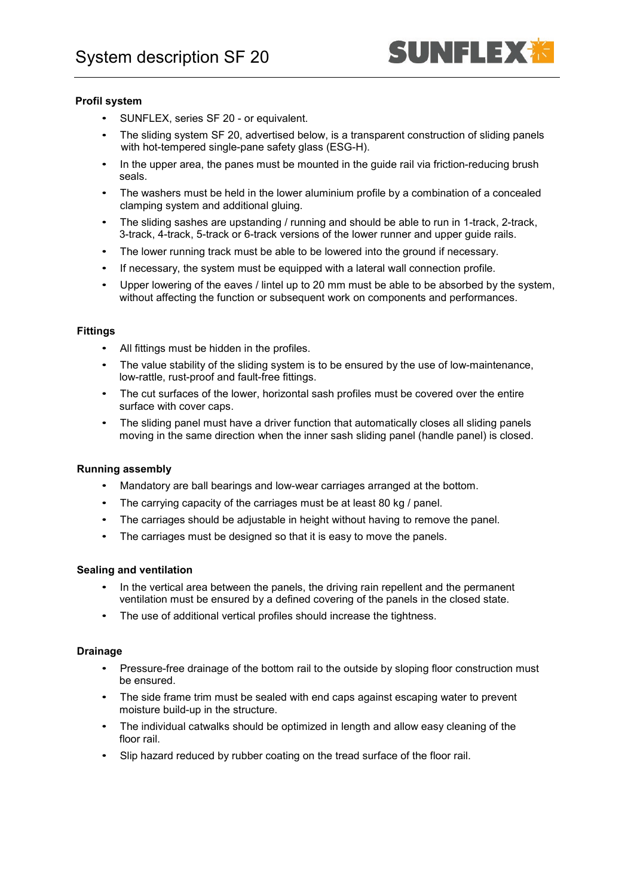

# **Profil system**

- SUNFLEX, series SF 20 or equivalent.
- The sliding system SF 20, advertised below, is a transparent construction of sliding panels with hot-tempered single-pane safety glass (ESG-H).
- In the upper area, the panes must be mounted in the guide rail via friction-reducing brush seals.
- The washers must be held in the lower aluminium profile by a combination of a concealed clamping system and additional gluing.
- The sliding sashes are upstanding / running and should be able to run in 1-track, 2-track, 3-track, 4-track, 5-track or 6-track versions of the lower runner and upper guide rails.
- The lower running track must be able to be lowered into the ground if necessary.
- If necessary, the system must be equipped with a lateral wall connection profile.
- Upper lowering of the eaves / lintel up to 20 mm must be able to be absorbed by the system, without affecting the function or subsequent work on components and performances.

# **Fittings**

- All fittings must be hidden in the profiles.
- The value stability of the sliding system is to be ensured by the use of low-maintenance, low-rattle, rust-proof and fault-free fittings.
- The cut surfaces of the lower, horizontal sash profiles must be covered over the entire surface with cover caps.
- The sliding panel must have a driver function that automatically closes all sliding panels moving in the same direction when the inner sash sliding panel (handle panel) is closed.

# **Running assembly**

- Mandatory are ball bearings and low-wear carriages arranged at the bottom.
- The carrying capacity of the carriages must be at least 80 kg / panel.
- The carriages should be adjustable in height without having to remove the panel.
- The carriages must be designed so that it is easy to move the panels.

# **Sealing and ventilation**

- In the vertical area between the panels, the driving rain repellent and the permanent ventilation must be ensured by a defined covering of the panels in the closed state.
- The use of additional vertical profiles should increase the tightness.

#### **Drainage**

- Pressure-free drainage of the bottom rail to the outside by sloping floor construction must be ensured.
- The side frame trim must be sealed with end caps against escaping water to prevent moisture build-up in the structure.
- The individual catwalks should be optimized in length and allow easy cleaning of the floor rail.
- Slip hazard reduced by rubber coating on the tread surface of the floor rail.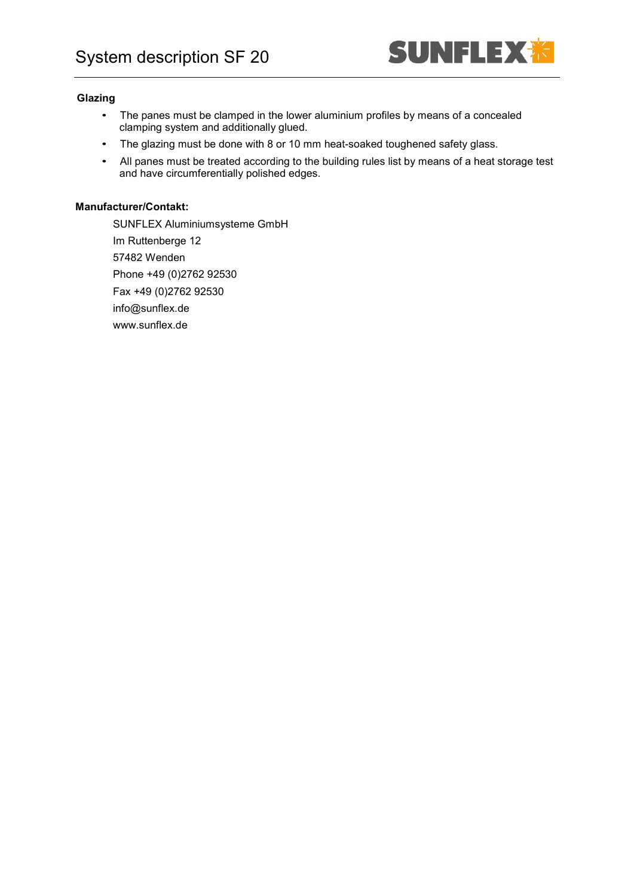

#### **Glazing**

- The panes must be clamped in the lower aluminium profiles by means of a concealed clamping system and additionally glued.
- The glazing must be done with 8 or 10 mm heat-soaked toughened safety glass.
- All panes must be treated according to the building rules list by means of a heat storage test and have circumferentially polished edges.

# **Manufacturer/Contakt:**

SUNFLEX Aluminiumsysteme GmbH Im Ruttenberge 12 57482 Wenden Phone +49 (0)2762 92530 Fax +49 (0)2762 92530 info@sunflex.de www.sunflex.de